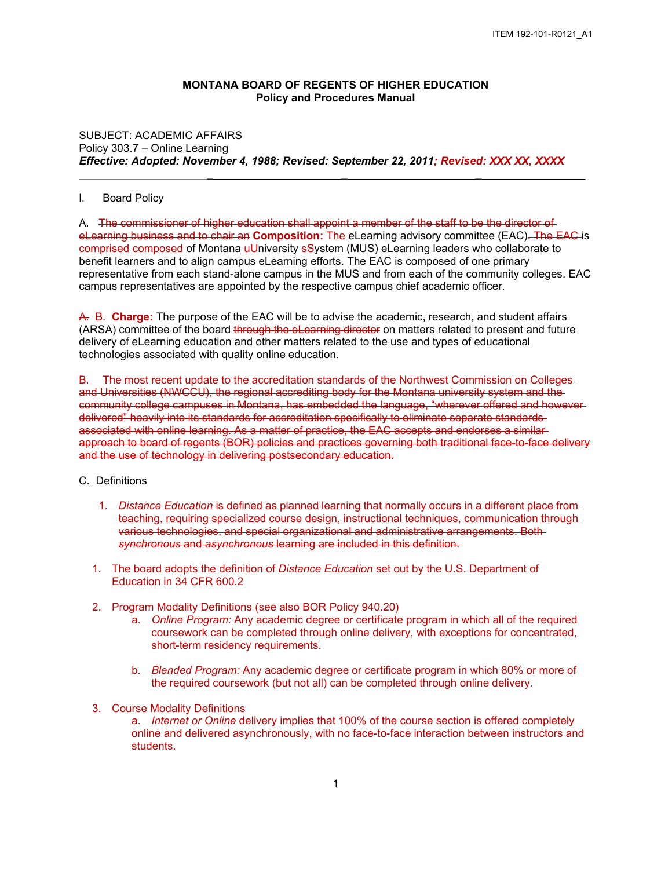# **MONTANA BOARD OF REGENTS OF HIGHER EDUCATION Policy and Procedures Manual**

## SUBJECT: ACADEMIC AFFAIRS Policy 303.7 – Online Learning *Effective: Adopted: November 4, 1988; Revised: September 22, 2011; Revised: XXX XX, XXXX*

#### I. Board Policy

A. The commissioner of higher education shall appoint a member of the staff to be the director of eLearning business and to chair an **Composition:** The eLearning advisory committee (EAC). The EAC is comprised composed of Montana uUniversity sSystem (MUS) eLearning leaders who collaborate to benefit learners and to align campus eLearning efforts. The EAC is composed of one primary representative from each stand-alone campus in the MUS and from each of the community colleges. EAC campus representatives are appointed by the respective campus chief academic officer.

\_ \_ \_

A. B. **Charge:** The purpose of the EAC will be to advise the academic, research, and student affairs (ARSA) committee of the board through the elearning director on matters related to present and future delivery of eLearning education and other matters related to the use and types of educational technologies associated with quality online education.

The most recent update to the accreditation standards of the Northwest Commission on Collegesand Universities (NWCCU), the regional accrediting body for the Montana university system and the community college campuses in Montana, has embedded the language, "wherever offered and however delivered" heavily into its standards for accreditation specifically to eliminate separate standards associated with online learning. As a matter of practice, the EAC accepts and endorses a similar approach to board of regents (BOR) policies and practices governing both traditional face-to-face delivery and the use of technology in delivering postsecondary education.

## C. Definitions

- 1. *Distance Education* is defined as planned learning that normally occurs in a different place from teaching, requiring specialized course design, instructional techniques, communication through various technologies, and special organizational and administrative arrangements. Both *synchronous* and *asynchronous* learning are included in this definition.
- 1. The board adopts the definition of *Distance Education* set out by the U.S. Department of Education in 34 CFR 600.2
- 2. Program Modality Definitions (see also BOR Policy 940.20)
	- a. *Online Program:* Any academic degree or certificate program in which all of the required coursework can be completed through online delivery, with exceptions for concentrated, short-term residency requirements.
	- b. *Blended Program:* Any academic degree or certificate program in which 80% or more of the required coursework (but not all) can be completed through online delivery.
- 3. Course Modality Definitions

a. *Internet or Online* delivery implies that 100% of the course section is offered completely online and delivered asynchronously, with no face-to-face interaction between instructors and students.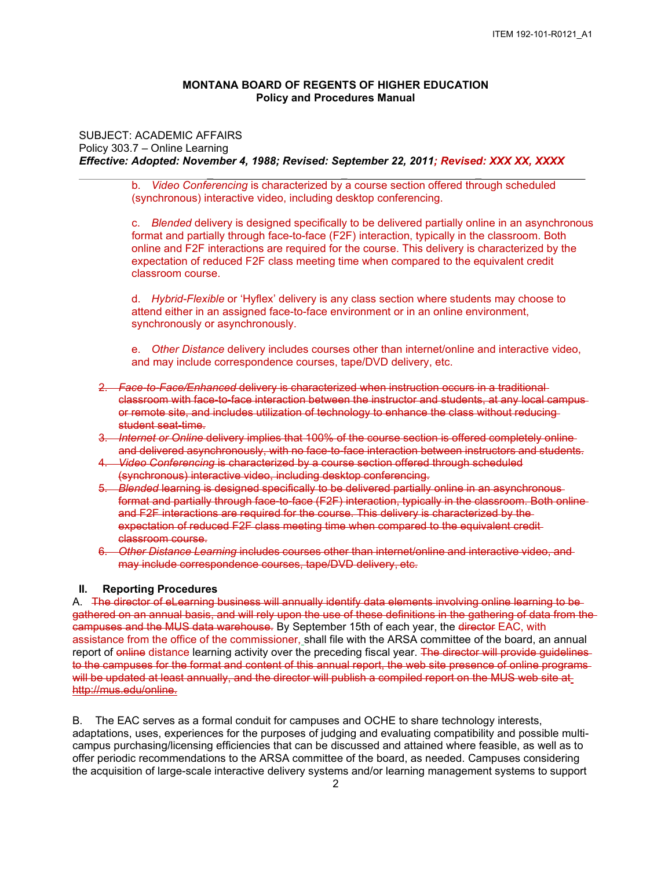# **MONTANA BOARD OF REGENTS OF HIGHER EDUCATION Policy and Procedures Manual**

#### SUBJECT: ACADEMIC AFFAIRS Policy 303.7 – Online Learning *Effective: Adopted: November 4, 1988; Revised: September 22, 2011; Revised: XXX XX, XXXX*

\_ \_ \_ b. *Video Conferencing* is characterized by a course section offered through scheduled (synchronous) interactive video, including desktop conferencing.

c. *Blended* delivery is designed specifically to be delivered partially online in an asynchronous format and partially through face-to-face (F2F) interaction, typically in the classroom. Both online and F2F interactions are required for the course. This delivery is characterized by the expectation of reduced F2F class meeting time when compared to the equivalent credit classroom course.

d. *Hybrid-Flexible* or 'Hyflex' delivery is any class section where students may choose to attend either in an assigned face-to-face environment or in an online environment, synchronously or asynchronously.

e. *Other Distance* delivery includes courses other than internet/online and interactive video, and may include correspondence courses, tape/DVD delivery, etc.

- 2. *Face-to-Face/Enhanced* delivery is characterized when instruction occurs in a traditional classroom with face-to-face interaction between the instructor and students, at any local campus or remote site, and includes utilization of technology to enhance the class without reducing student seat-time.
- 3. *Internet or Online* delivery implies that 100% of the course section is offered completely online and delivered asynchronously, with no face-to-face interaction between instructors and students.
- 4. *Video Conferencing* is characterized by a course section offered through scheduled (synchronous) interactive video, including desktop conferencing.
- 5. *Blended* learning is designed specifically to be delivered partially online in an asynchronous format and partially through face-to-face (F2F) interaction, typically in the classroom. Both onlineand F2F interactions are required for the course. This delivery is characterized by the expectation of reduced F2F class meeting time when compared to the equivalent credit classroom course.
- 6. *Other Distance Learning* includes courses other than internet/online and interactive video, and may include correspondence courses, tape/DVD delivery, etc.

## **II. Reporting Procedures**

A. The director of eLearning business will annually identify data elements involving online learning to begathered on an annual basis, and will rely upon the use of these definitions in the gathering of data from the campuses and the MUS data warehouse. By September 15th of each year, the director EAC, with assistance from the office of the commissioner, shall file with the ARSA committee of the board, an annual report of online distance learning activity over the preceding fiscal year. The director will provide guidelines to the campuses for the format and content of this annual report, the web site presence of online programs will be updated at least annually, and the director will publish a compiled report on the MUS web site a[t](http://mus.edu/online) [http://mus.edu/online.](http://mus.edu/online)

B. The EAC serves as a formal conduit for campuses and OCHE to share technology interests, adaptations, uses, experiences for the purposes of judging and evaluating compatibility and possible multicampus purchasing/licensing efficiencies that can be discussed and attained where feasible, as well as to offer periodic recommendations to the ARSA committee of the board, as needed. Campuses considering the acquisition of large-scale interactive delivery systems and/or learning management systems to support